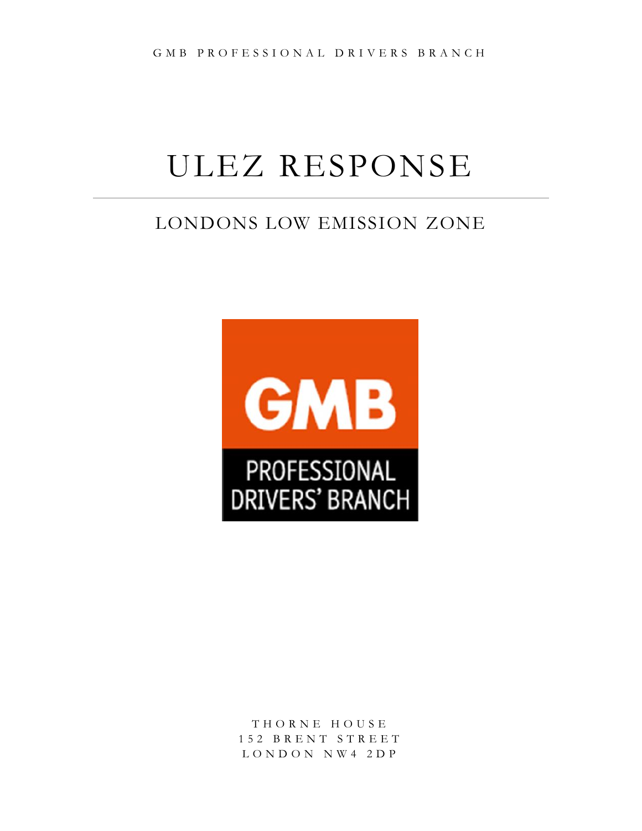# ULEZ RESPONSE

## LONDONS LOW EMISSION ZONE



T H O R N E H O U S E 1 5 2 B R E N T S T R E E T L O N D O N N W 4 2 D P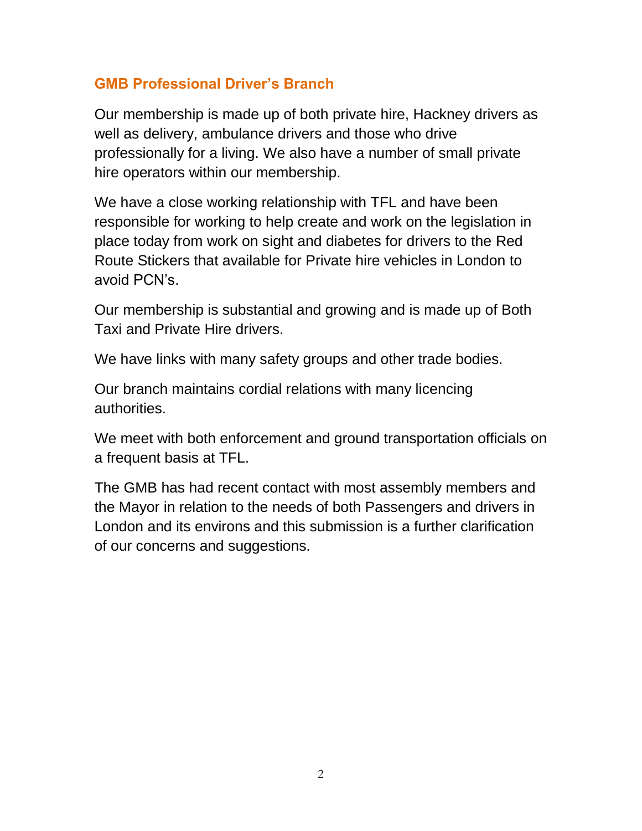## **GMB Professional Driver's Branch**

Our membership is made up of both private hire, Hackney drivers as well as delivery, ambulance drivers and those who drive professionally for a living. We also have a number of small private hire operators within our membership.

We have a close working relationship with TFL and have been responsible for working to help create and work on the legislation in place today from work on sight and diabetes for drivers to the Red Route Stickers that available for Private hire vehicles in London to avoid PCN's.

Our membership is substantial and growing and is made up of Both Taxi and Private Hire drivers.

We have links with many safety groups and other trade bodies.

Our branch maintains cordial relations with many licencing authorities.

We meet with both enforcement and ground transportation officials on a frequent basis at TFL.

The GMB has had recent contact with most assembly members and the Mayor in relation to the needs of both Passengers and drivers in London and its environs and this submission is a further clarification of our concerns and suggestions.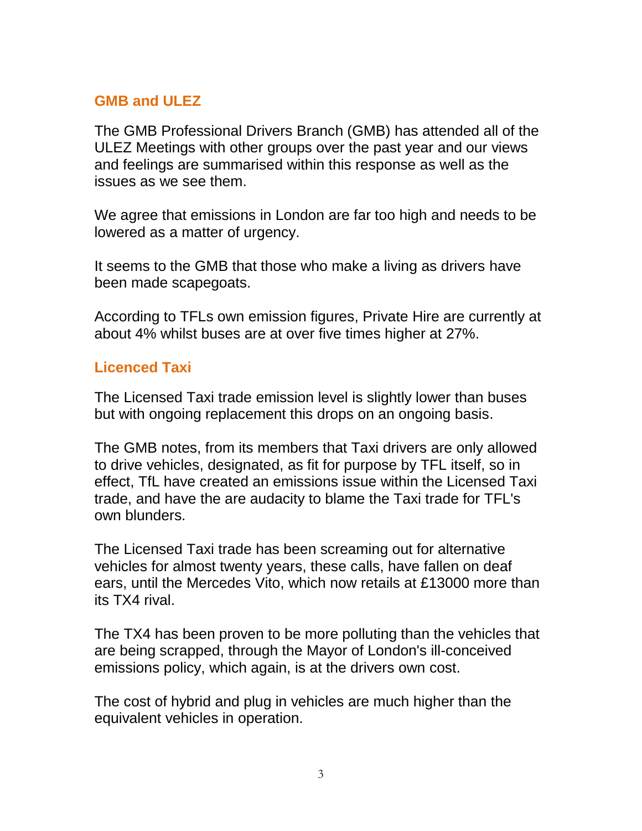## **GMB and ULEZ**

The GMB Professional Drivers Branch (GMB) has attended all of the ULEZ Meetings with other groups over the past year and our views and feelings are summarised within this response as well as the issues as we see them.

We agree that emissions in London are far too high and needs to be lowered as a matter of urgency.

It seems to the GMB that those who make a living as drivers have been made scapegoats.

According to TFLs own emission figures, Private Hire are currently at about 4% whilst buses are at over five times higher at 27%.

#### **Licenced Taxi**

The Licensed Taxi trade emission level is slightly lower than buses but with ongoing replacement this drops on an ongoing basis.

The GMB notes, from its members that Taxi drivers are only allowed to drive vehicles, designated, as fit for purpose by TFL itself, so in effect, TfL have created an emissions issue within the Licensed Taxi trade, and have the are audacity to blame the Taxi trade for TFL's own blunders.

The Licensed Taxi trade has been screaming out for alternative vehicles for almost twenty years, these calls, have fallen on deaf ears, until the Mercedes Vito, which now retails at £13000 more than its TX4 rival.

The TX4 has been proven to be more polluting than the vehicles that are being scrapped, through the Mayor of London's ill-conceived emissions policy, which again, is at the drivers own cost.

The cost of hybrid and plug in vehicles are much higher than the equivalent vehicles in operation.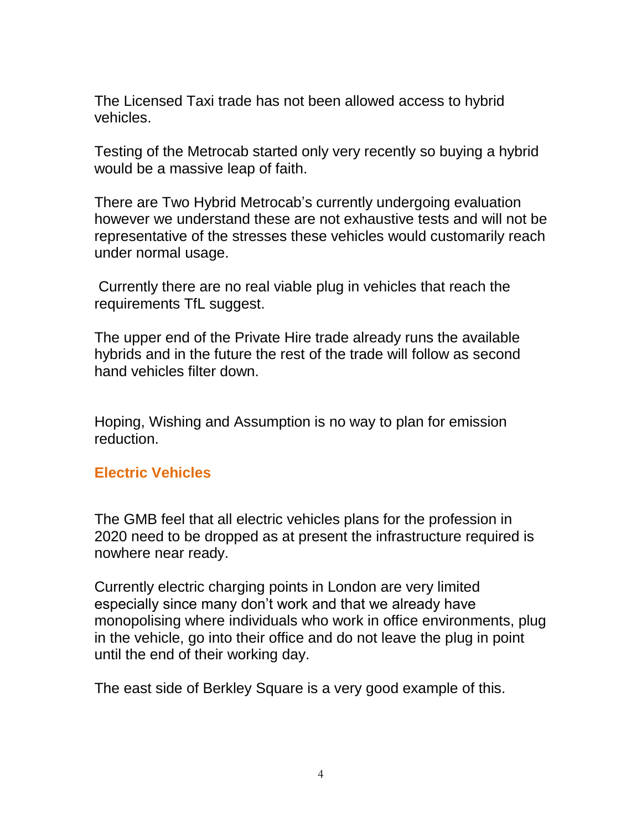The Licensed Taxi trade has not been allowed access to hybrid vehicles.

Testing of the Metrocab started only very recently so buying a hybrid would be a massive leap of faith.

There are Two Hybrid Metrocab's currently undergoing evaluation however we understand these are not exhaustive tests and will not be representative of the stresses these vehicles would customarily reach under normal usage.

Currently there are no real viable plug in vehicles that reach the requirements TfL suggest.

The upper end of the Private Hire trade already runs the available hybrids and in the future the rest of the trade will follow as second hand vehicles filter down.

Hoping, Wishing and Assumption is no way to plan for emission reduction.

#### **Electric Vehicles**

The GMB feel that all electric vehicles plans for the profession in 2020 need to be dropped as at present the infrastructure required is nowhere near ready.

Currently electric charging points in London are very limited especially since many don't work and that we already have monopolising where individuals who work in office environments, plug in the vehicle, go into their office and do not leave the plug in point until the end of their working day.

The east side of Berkley Square is a very good example of this.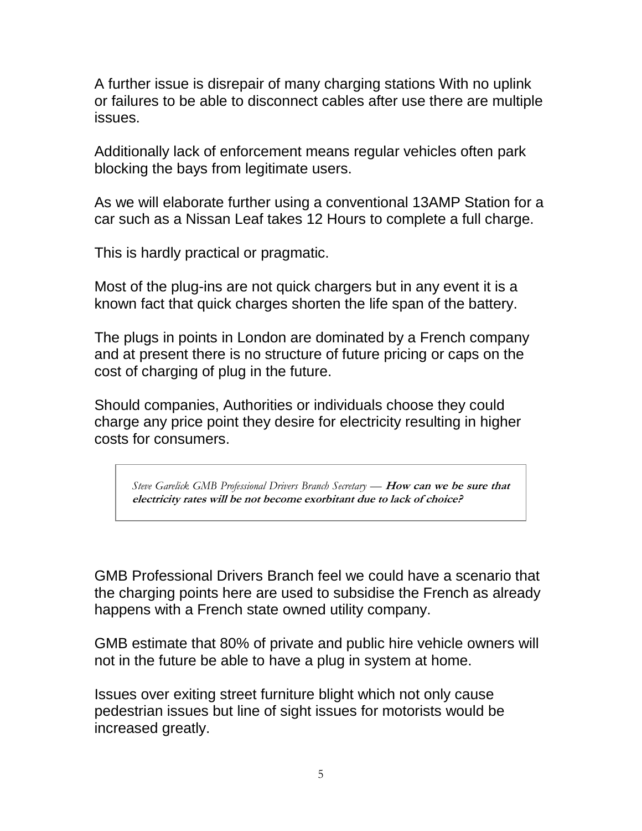A further issue is disrepair of many charging stations With no uplink or failures to be able to disconnect cables after use there are multiple issues.

Additionally lack of enforcement means regular vehicles often park blocking the bays from legitimate users.

As we will elaborate further using a conventional 13AMP Station for a car such as a Nissan Leaf takes 12 Hours to complete a full charge.

This is hardly practical or pragmatic.

Most of the plug-ins are not quick chargers but in any event it is a known fact that quick charges shorten the life span of the battery.

The plugs in points in London are dominated by a French company and at present there is no structure of future pricing or caps on the cost of charging of plug in the future.

Should companies, Authorities or individuals choose they could charge any price point they desire for electricity resulting in higher costs for consumers.

*Steve Garelick GMB Professional Drivers Branch Secretary —* **How can we be sure that electricity rates will be not become exorbitant due to lack of choice?**

GMB Professional Drivers Branch feel we could have a scenario that the charging points here are used to subsidise the French as already happens with a French state owned utility company.

GMB estimate that 80% of private and public hire vehicle owners will not in the future be able to have a plug in system at home.

Issues over exiting street furniture blight which not only cause pedestrian issues but line of sight issues for motorists would be increased greatly.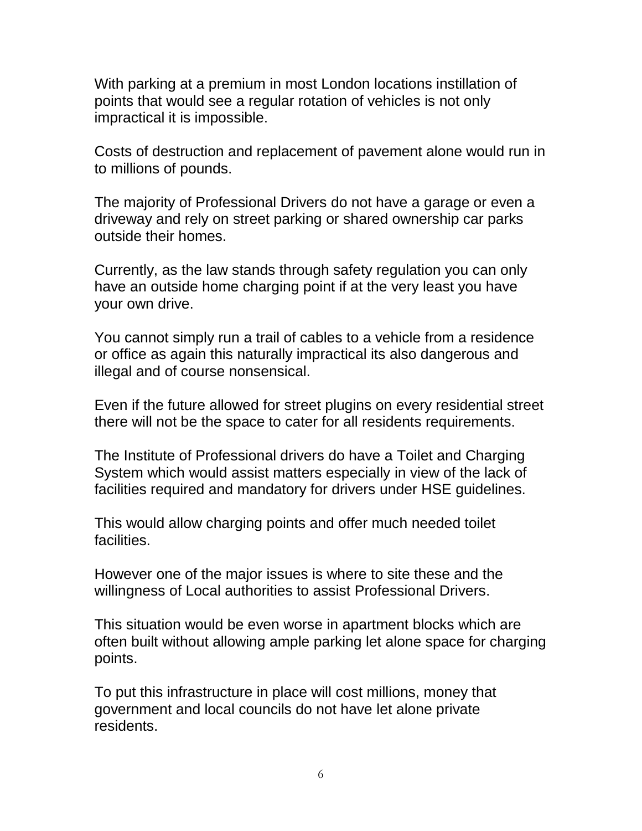With parking at a premium in most London locations instillation of points that would see a regular rotation of vehicles is not only impractical it is impossible.

Costs of destruction and replacement of pavement alone would run in to millions of pounds.

The majority of Professional Drivers do not have a garage or even a driveway and rely on street parking or shared ownership car parks outside their homes.

Currently, as the law stands through safety regulation you can only have an outside home charging point if at the very least you have your own drive.

You cannot simply run a trail of cables to a vehicle from a residence or office as again this naturally impractical its also dangerous and illegal and of course nonsensical.

Even if the future allowed for street plugins on every residential street there will not be the space to cater for all residents requirements.

The Institute of Professional drivers do have a Toilet and Charging System which would assist matters especially in view of the lack of facilities required and mandatory for drivers under HSE guidelines.

This would allow charging points and offer much needed toilet facilities.

However one of the major issues is where to site these and the willingness of Local authorities to assist Professional Drivers.

This situation would be even worse in apartment blocks which are often built without allowing ample parking let alone space for charging points.

To put this infrastructure in place will cost millions, money that government and local councils do not have let alone private residents.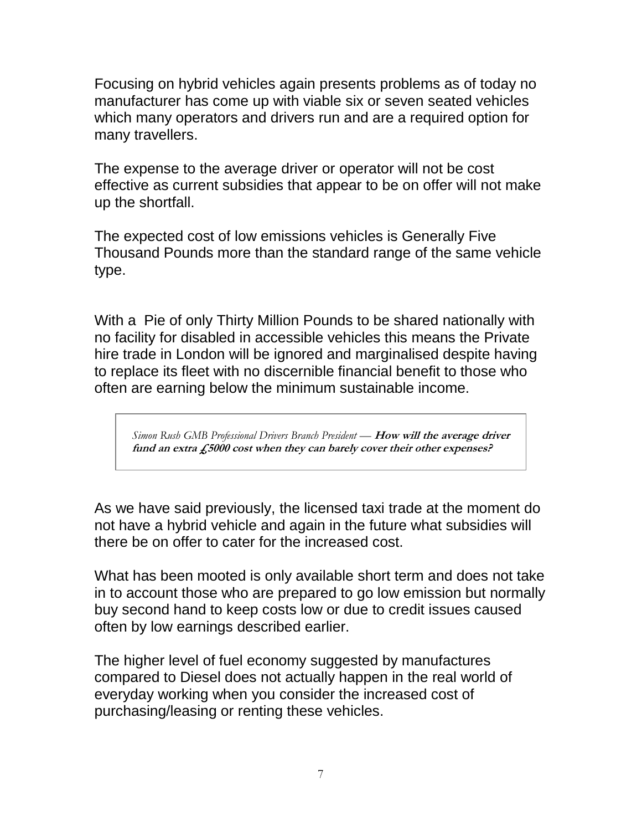Focusing on hybrid vehicles again presents problems as of today no manufacturer has come up with viable six or seven seated vehicles which many operators and drivers run and are a required option for many travellers.

The expense to the average driver or operator will not be cost effective as current subsidies that appear to be on offer will not make up the shortfall.

The expected cost of low emissions vehicles is Generally Five Thousand Pounds more than the standard range of the same vehicle type.

With a Pie of only Thirty Million Pounds to be shared nationally with no facility for disabled in accessible vehicles this means the Private hire trade in London will be ignored and marginalised despite having to replace its fleet with no discernible financial benefit to those who often are earning below the minimum sustainable income.

*Simon Rush GMB Professional Drivers Branch President —* **How will the average driver fund an extra £5000 cost when they can barely cover their other expenses?**

As we have said previously, the licensed taxi trade at the moment do not have a hybrid vehicle and again in the future what subsidies will there be on offer to cater for the increased cost.

What has been mooted is only available short term and does not take in to account those who are prepared to go low emission but normally buy second hand to keep costs low or due to credit issues caused often by low earnings described earlier.

The higher level of fuel economy suggested by manufactures compared to Diesel does not actually happen in the real world of everyday working when you consider the increased cost of purchasing/leasing or renting these vehicles.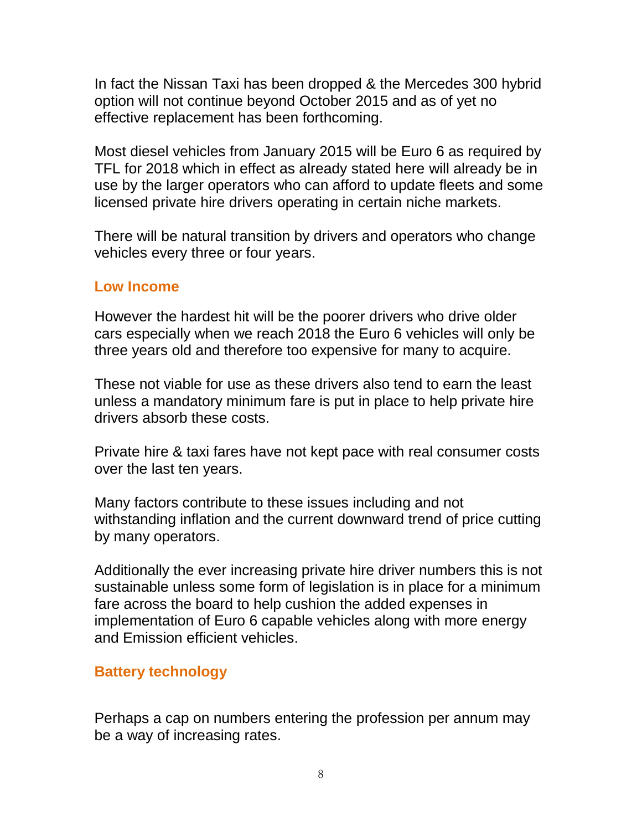In fact the Nissan Taxi has been dropped & the Mercedes 300 hybrid option will not continue beyond October 2015 and as of yet no effective replacement has been forthcoming.

Most diesel vehicles from January 2015 will be Euro 6 as required by TFL for 2018 which in effect as already stated here will already be in use by the larger operators who can afford to update fleets and some licensed private hire drivers operating in certain niche markets.

There will be natural transition by drivers and operators who change vehicles every three or four years.

#### **Low Income**

However the hardest hit will be the poorer drivers who drive older cars especially when we reach 2018 the Euro 6 vehicles will only be three years old and therefore too expensive for many to acquire.

These not viable for use as these drivers also tend to earn the least unless a mandatory minimum fare is put in place to help private hire drivers absorb these costs.

Private hire & taxi fares have not kept pace with real consumer costs over the last ten years.

Many factors contribute to these issues including and not withstanding inflation and the current downward trend of price cutting by many operators.

Additionally the ever increasing private hire driver numbers this is not sustainable unless some form of legislation is in place for a minimum fare across the board to help cushion the added expenses in implementation of Euro 6 capable vehicles along with more energy and Emission efficient vehicles.

#### **Battery technology**

Perhaps a cap on numbers entering the profession per annum may be a way of increasing rates.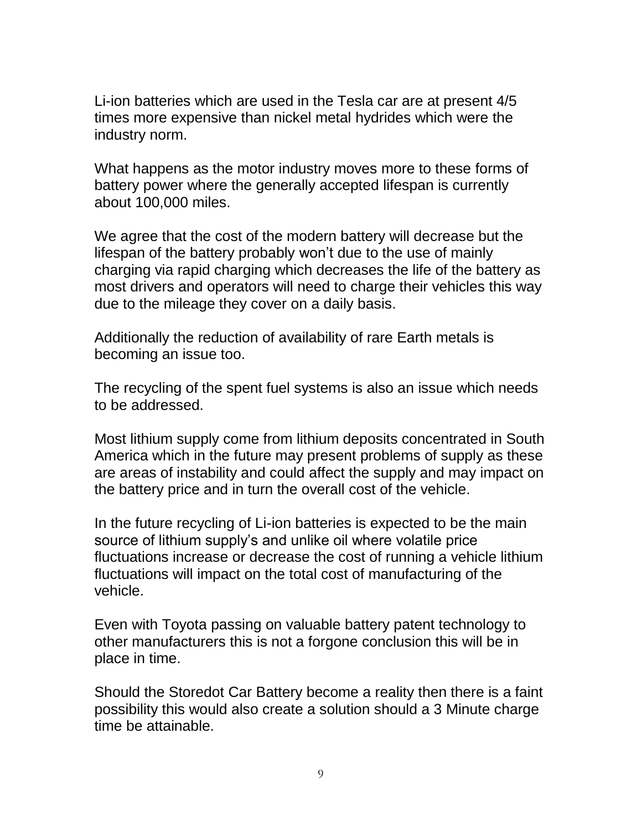Li-ion batteries which are used in the Tesla car are at present 4/5 times more expensive than nickel metal hydrides which were the industry norm.

What happens as the motor industry moves more to these forms of battery power where the generally accepted lifespan is currently about 100,000 miles.

We agree that the cost of the modern battery will decrease but the lifespan of the battery probably won't due to the use of mainly charging via rapid charging which decreases the life of the battery as most drivers and operators will need to charge their vehicles this way due to the mileage they cover on a daily basis.

Additionally the reduction of availability of rare Earth metals is becoming an issue too.

The recycling of the spent fuel systems is also an issue which needs to be addressed.

Most lithium supply come from lithium deposits concentrated in South America which in the future may present problems of supply as these are areas of instability and could affect the supply and may impact on the battery price and in turn the overall cost of the vehicle.

In the future recycling of Li-ion batteries is expected to be the main source of lithium supply's and unlike oil where volatile price fluctuations increase or decrease the cost of running a vehicle lithium fluctuations will impact on the total cost of manufacturing of the vehicle.

Even with Toyota passing on valuable battery patent technology to other manufacturers this is not a forgone conclusion this will be in place in time.

Should the Storedot Car Battery become a reality then there is a faint possibility this would also create a solution should a 3 Minute charge time be attainable.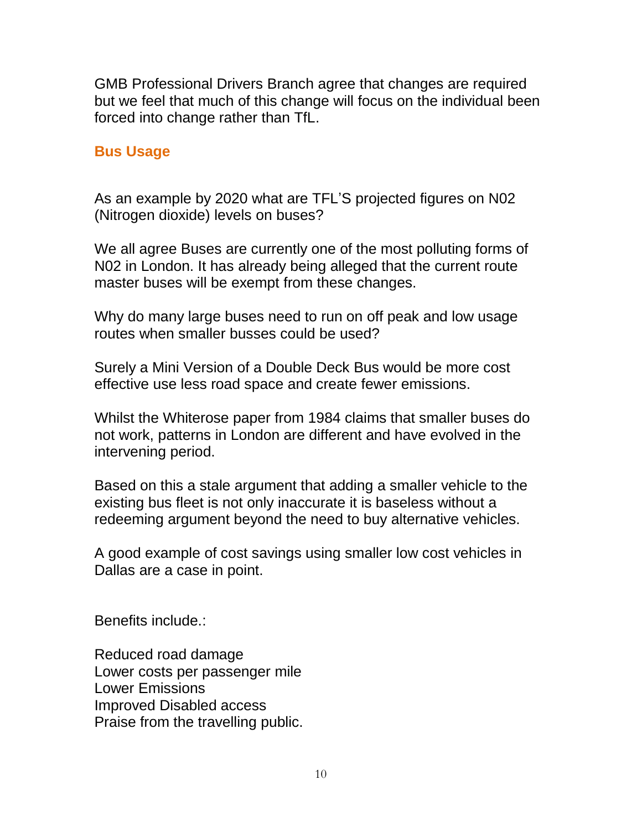GMB Professional Drivers Branch agree that changes are required but we feel that much of this change will focus on the individual been forced into change rather than TfL.

#### **Bus Usage**

As an example by 2020 what are TFL'S projected figures on N02 (Nitrogen dioxide) levels on buses?

We all agree Buses are currently one of the most polluting forms of N02 in London. It has already being alleged that the current route master buses will be exempt from these changes.

Why do many large buses need to run on off peak and low usage routes when smaller busses could be used?

Surely a Mini Version of a Double Deck Bus would be more cost effective use less road space and create fewer emissions.

Whilst the Whiterose paper from 1984 claims that smaller buses do not work, patterns in London are different and have evolved in the intervening period.

Based on this a stale argument that adding a smaller vehicle to the existing bus fleet is not only inaccurate it is baseless without a redeeming argument beyond the need to buy alternative vehicles.

A good example of cost savings using smaller low cost vehicles in Dallas are a case in point.

Benefits include.:

Reduced road damage Lower costs per passenger mile Lower Emissions Improved Disabled access Praise from the travelling public.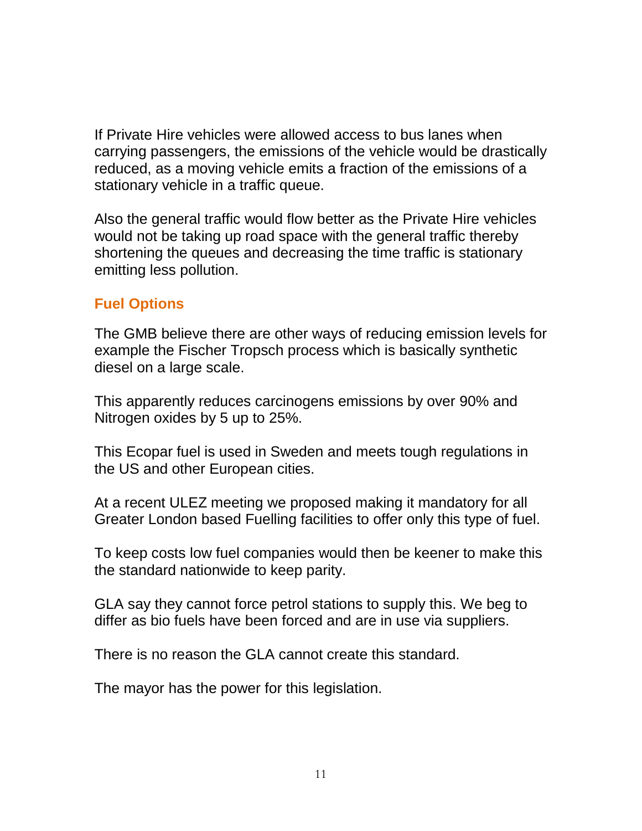If Private Hire vehicles were allowed access to bus lanes when carrying passengers, the emissions of the vehicle would be drastically reduced, as a moving vehicle emits a fraction of the emissions of a stationary vehicle in a traffic queue.

Also the general traffic would flow better as the Private Hire vehicles would not be taking up road space with the general traffic thereby shortening the queues and decreasing the time traffic is stationary emitting less pollution.

## **Fuel Options**

The GMB believe there are other ways of reducing emission levels for example the Fischer Tropsch process which is basically synthetic diesel on a large scale.

This apparently reduces carcinogens emissions by over 90% and Nitrogen oxides by 5 up to 25%.

This Ecopar fuel is used in Sweden and meets tough regulations in the US and other European cities.

At a recent ULEZ meeting we proposed making it mandatory for all Greater London based Fuelling facilities to offer only this type of fuel.

To keep costs low fuel companies would then be keener to make this the standard nationwide to keep parity.

GLA say they cannot force petrol stations to supply this. We beg to differ as bio fuels have been forced and are in use via suppliers.

There is no reason the GLA cannot create this standard.

The mayor has the power for this legislation.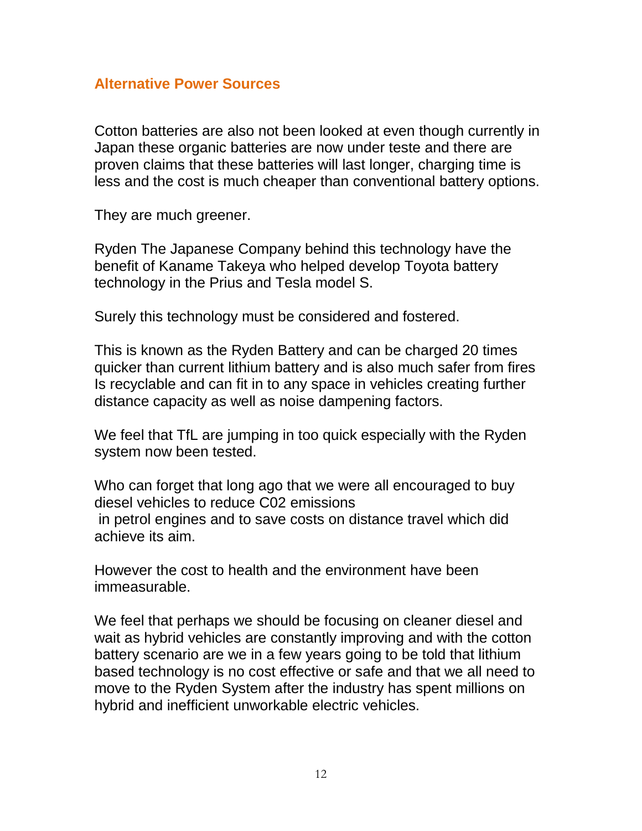#### **Alternative Power Sources**

Cotton batteries are also not been looked at even though currently in Japan these organic batteries are now under teste and there are proven claims that these batteries will last longer, charging time is less and the cost is much cheaper than conventional battery options.

They are much greener.

Ryden The Japanese Company behind this technology have the benefit of Kaname Takeya who helped develop Toyota battery technology in the Prius and Tesla model S.

Surely this technology must be considered and fostered.

This is known as the Ryden Battery and can be charged 20 times quicker than current lithium battery and is also much safer from fires Is recyclable and can fit in to any space in vehicles creating further distance capacity as well as noise dampening factors.

We feel that TfL are jumping in too quick especially with the Ryden system now been tested.

Who can forget that long ago that we were all encouraged to buy diesel vehicles to reduce C02 emissions in petrol engines and to save costs on distance travel which did achieve its aim.

However the cost to health and the environment have been immeasurable.

We feel that perhaps we should be focusing on cleaner diesel and wait as hybrid vehicles are constantly improving and with the cotton battery scenario are we in a few years going to be told that lithium based technology is no cost effective or safe and that we all need to move to the Ryden System after the industry has spent millions on hybrid and inefficient unworkable electric vehicles.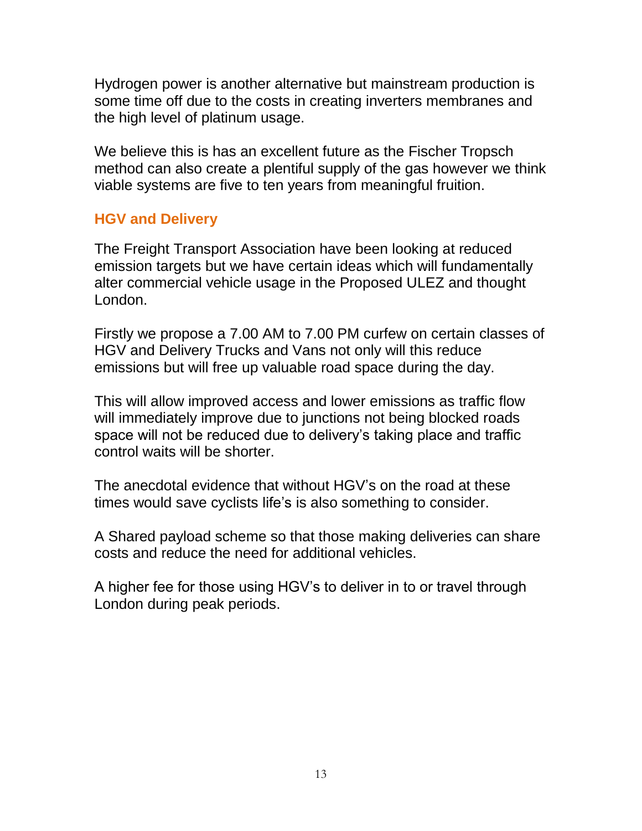Hydrogen power is another alternative but mainstream production is some time off due to the costs in creating inverters membranes and the high level of platinum usage.

We believe this is has an excellent future as the Fischer Tropsch method can also create a plentiful supply of the gas however we think viable systems are five to ten years from meaningful fruition.

## **HGV and Delivery**

The Freight Transport Association have been looking at reduced emission targets but we have certain ideas which will fundamentally alter commercial vehicle usage in the Proposed ULEZ and thought London.

Firstly we propose a 7.00 AM to 7.00 PM curfew on certain classes of HGV and Delivery Trucks and Vans not only will this reduce emissions but will free up valuable road space during the day.

This will allow improved access and lower emissions as traffic flow will immediately improve due to junctions not being blocked roads space will not be reduced due to delivery's taking place and traffic control waits will be shorter.

The anecdotal evidence that without HGV's on the road at these times would save cyclists life's is also something to consider.

A Shared payload scheme so that those making deliveries can share costs and reduce the need for additional vehicles.

A higher fee for those using HGV's to deliver in to or travel through London during peak periods.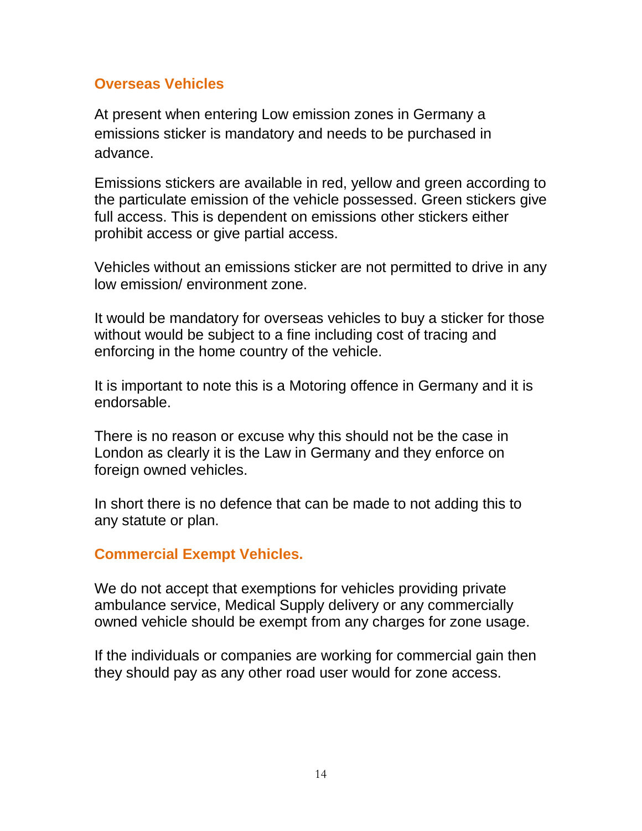### **Overseas Vehicles**

At present when entering Low emission zones in Germany a emissions sticker is mandatory and needs to be purchased in advance.

Emissions stickers are available in red, yellow and green according to the particulate emission of the vehicle possessed. Green stickers give full access. This is dependent on emissions other stickers either prohibit access or give partial access.

Vehicles without an emissions sticker are not permitted to drive in any low emission/ environment zone.

It would be mandatory for overseas vehicles to buy a sticker for those without would be subject to a fine including cost of tracing and enforcing in the home country of the vehicle.

It is important to note this is a Motoring offence in Germany and it is endorsable.

There is no reason or excuse why this should not be the case in London as clearly it is the Law in Germany and they enforce on foreign owned vehicles.

In short there is no defence that can be made to not adding this to any statute or plan.

#### **Commercial Exempt Vehicles.**

We do not accept that exemptions for vehicles providing private ambulance service, Medical Supply delivery or any commercially owned vehicle should be exempt from any charges for zone usage.

If the individuals or companies are working for commercial gain then they should pay as any other road user would for zone access.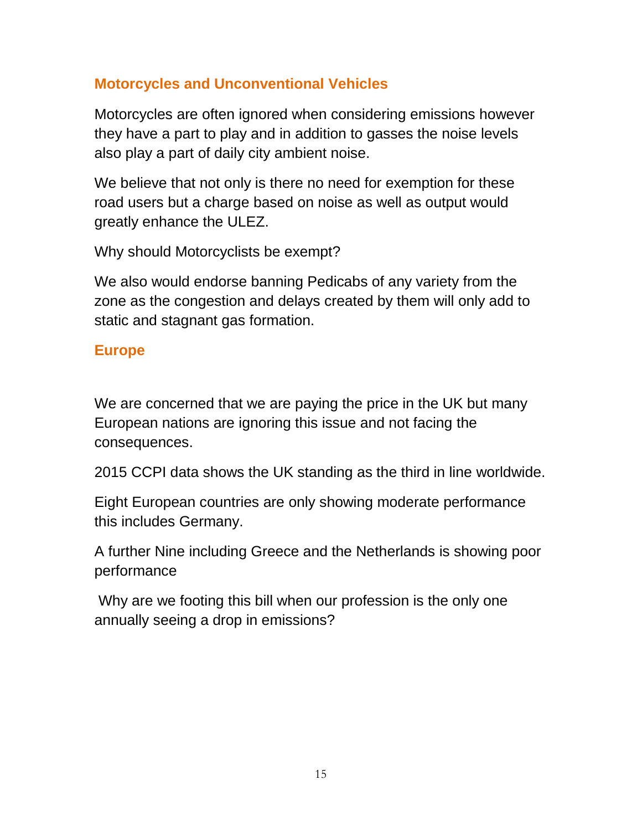## **Motorcycles and Unconventional Vehicles**

Motorcycles are often ignored when considering emissions however they have a part to play and in addition to gasses the noise levels also play a part of daily city ambient noise.

We believe that not only is there no need for exemption for these road users but a charge based on noise as well as output would greatly enhance the ULEZ.

Why should Motorcyclists be exempt?

We also would endorse banning Pedicabs of any variety from the zone as the congestion and delays created by them will only add to static and stagnant gas formation.

## **Europe**

We are concerned that we are paying the price in the UK but many European nations are ignoring this issue and not facing the consequences.

2015 CCPI data shows the UK standing as the third in line worldwide.

Eight European countries are only showing moderate performance this includes Germany.

A further Nine including Greece and the Netherlands is showing poor performance

Why are we footing this bill when our profession is the only one annually seeing a drop in emissions?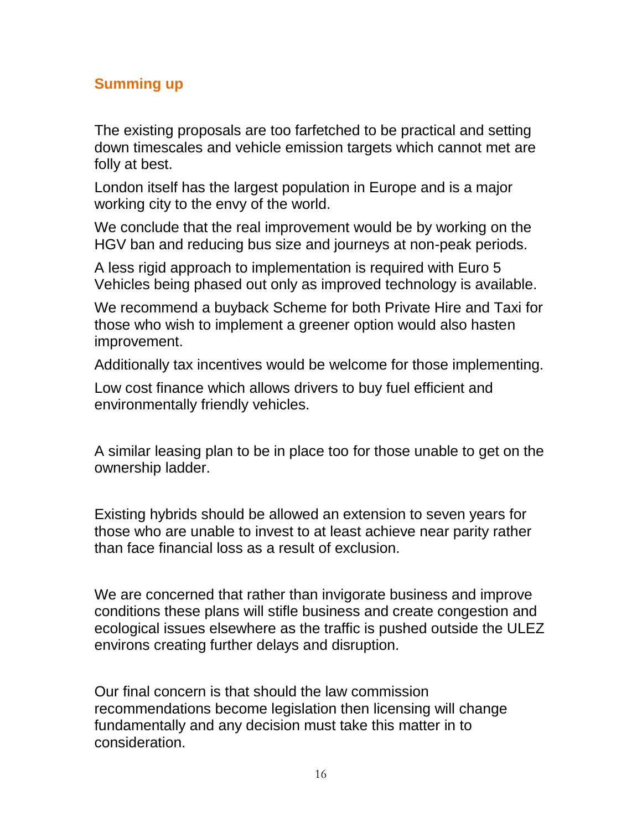## **Summing up**

The existing proposals are too farfetched to be practical and setting down timescales and vehicle emission targets which cannot met are folly at best.

London itself has the largest population in Europe and is a major working city to the envy of the world.

We conclude that the real improvement would be by working on the HGV ban and reducing bus size and journeys at non-peak periods.

A less rigid approach to implementation is required with Euro 5 Vehicles being phased out only as improved technology is available.

We recommend a buyback Scheme for both Private Hire and Taxi for those who wish to implement a greener option would also hasten improvement.

Additionally tax incentives would be welcome for those implementing.

Low cost finance which allows drivers to buy fuel efficient and environmentally friendly vehicles.

A similar leasing plan to be in place too for those unable to get on the ownership ladder.

Existing hybrids should be allowed an extension to seven years for those who are unable to invest to at least achieve near parity rather than face financial loss as a result of exclusion.

We are concerned that rather than invigorate business and improve conditions these plans will stifle business and create congestion and ecological issues elsewhere as the traffic is pushed outside the ULEZ environs creating further delays and disruption.

Our final concern is that should the law commission recommendations become legislation then licensing will change fundamentally and any decision must take this matter in to consideration.